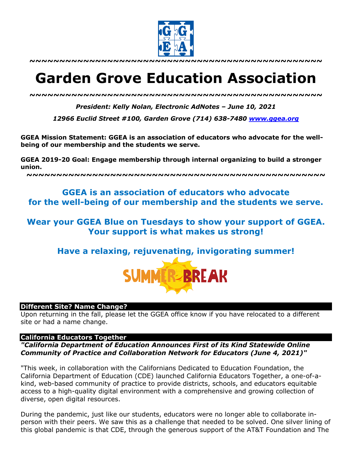

**~~~~~~~~~~~~~~~~~~~~~~~~~~~~~~~~~~~~~~~~~~~~~~~~~**

# **Garden Grove Education Association**

*~~~~~~~~~~~~~~~~~~~~~~~~~~~~~~~~~~~~~~~~~~~~~~~~~*

*President: Kelly Nolan, Electronic AdNotes – June 10, 2021*

*12966 Euclid Street #100, Garden Grove (714) 638-7480 www.ggea.org*

**GGEA Mission Statement: GGEA is an association of educators who advocate for the wellbeing of our membership and the students we serve.** 

**GGEA 2019-20 Goal: Engage membership through internal organizing to build a stronger union.**

**~~~~~~~~~~~~~~~~~~~~~~~~~~~~~~~~~~~~~~~~~~~~~~~~~~**

# **GGEA is an association of educators who advocate for the well-being of our membership and the students we serve.**

# **Wear your GGEA Blue on Tuesdays to show your support of GGEA. Your support is what makes us strong!**

**Have a relaxing, rejuvenating, invigorating summer!**



#### **Different Site? Name Change?**

Upon returning in the fall, please let the GGEA office know if you have relocated to a different site or had a name change.

#### **California Educators Together**

*"California Department of Education Announces First of its Kind Statewide Online Community of Practice and Collaboration Network for Educators (June 4, 2021)"*

"This week, in collaboration with the Californians Dedicated to Education Foundation, the California Department of Education (CDE) launched California Educators Together, a one-of-akind, web-based community of practice to provide districts, schools, and educators equitable access to a high-quality digital environment with a comprehensive and growing collection of diverse, open digital resources.

During the pandemic, just like our students, educators were no longer able to collaborate inperson with their peers. We saw this as a challenge that needed to be solved. One silver lining of this global pandemic is that CDE, through the generous support of the AT&T Foundation and The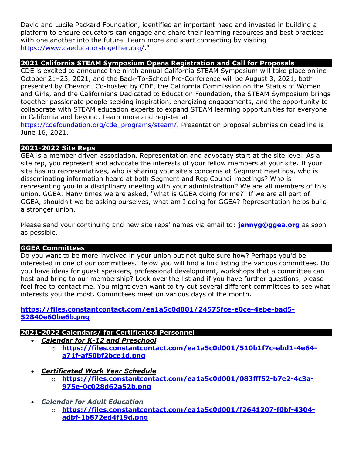David and Lucile Packard Foundation, identified an important need and invested in building a platform to ensure educators can engage and share their learning resources and best practices with one another into the future. Learn more and start connecting by visiting https://www.caeducatorstogether.org/."

# **2021 California STEAM Symposium Opens Registration and Call for Proposals**

CDE is excited to announce the ninth annual California STEAM Symposium will take place online October 21–23, 2021, and the Back-To-School Pre-Conference will be August 3, 2021, both presented by Chevron. Co-hosted by CDE, the California Commission on the Status of Women and Girls, and the Californians Dedicated to Education Foundation, the STEAM Symposium brings together passionate people seeking inspiration, energizing engagements, and the opportunity to collaborate with STEAM education experts to expand STEAM learning opportunities for everyone in California and beyond. Learn more and register at

https://cdefoundation.org/cde\_programs/steam/. Presentation proposal submission deadline is June 16, 2021.

# **2021-2022 Site Reps**

GEA is a member driven association. Representation and advocacy start at the site level. As a site rep, you represent and advocate the interests of your fellow members at your site. If your site has no representatives, who is sharing your site's concerns at Segment meetings, who is disseminating information heard at both Segment and Rep Council meetings? Who is representing you in a disciplinary meeting with your administration? We are all members of this union, GGEA. Many times we are asked, "what is GGEA doing for me?" If we are all part of GGEA, shouldn't we be asking ourselves, what am I doing for GGEA? Representation helps build a stronger union.

Please send your continuing and new site reps' names via email to: **jennyg@ggea.org** as soon as possible.

#### **GGEA Committees**

Do you want to be more involved in your union but not quite sure how? Perhaps you'd be interested in one of our committees. Below you will find a link listing the various committees. Do you have ideas for guest speakers, professional development, workshops that a committee can host and bring to our membership? Look over the list and if you have further questions, please feel free to contact me. You might even want to try out several different committees to see what interests you the most. Committees meet on various days of the month.

#### **https://files.constantcontact.com/ea1a5c0d001/24575fce-e0ce-4ebe-bad5- 52840e60be6b.png**

#### **2021-2022 Calendars/ for Certificated Personnel**

- *Calendar for K-12 and Preschool*
	- o **https://files.constantcontact.com/ea1a5c0d001/510b1f7c-ebd1-4e64 a71f-af50bf2bce1d.png**
	- *Certificated Work Year Schedule*
		- o **https://files.constantcontact.com/ea1a5c0d001/083fff52-b7e2-4c3a-975e-0c028d62a52b.png**
	- *Calendar for Adult Education*
		- o **https://files.constantcontact.com/ea1a5c0d001/f2641207-f0bf-4304 adbf-1b872ed4f19d.png**